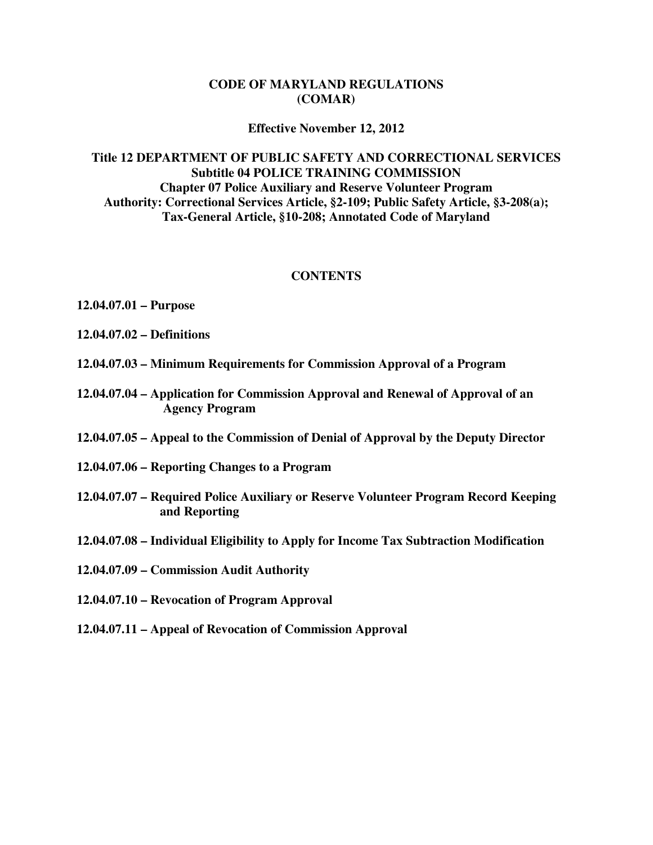#### **CODE OF MARYLAND REGULATIONS (COMAR)**

#### **Effective November 12, 2012**

#### **Title 12 DEPARTMENT OF PUBLIC SAFETY AND CORRECTIONAL SERVICES Subtitle 04 POLICE TRAINING COMMISSION Chapter 07 Police Auxiliary and Reserve Volunteer Program Authority: Correctional Services Article, §2-109; Public Safety Article, §3-208(a); Tax-General Article, §10-208; Annotated Code of Maryland**

#### **CONTENTS**

- **12.04.07.01 Purpose**
- **12.04.07.02 Definitions**
- **12.04.07.03 Minimum Requirements for Commission Approval of a Program**
- **12.04.07.04 Application for Commission Approval and Renewal of Approval of an Agency Program**
- **12.04.07.05 Appeal to the Commission of Denial of Approval by the Deputy Director**
- **12.04.07.06 Reporting Changes to a Program**
- **12.04.07.07 Required Police Auxiliary or Reserve Volunteer Program Record Keeping and Reporting**
- **12.04.07.08 Individual Eligibility to Apply for Income Tax Subtraction Modification**
- **12.04.07.09 Commission Audit Authority**
- **12.04.07.10 Revocation of Program Approval**
- **12.04.07.11 Appeal of Revocation of Commission Approval**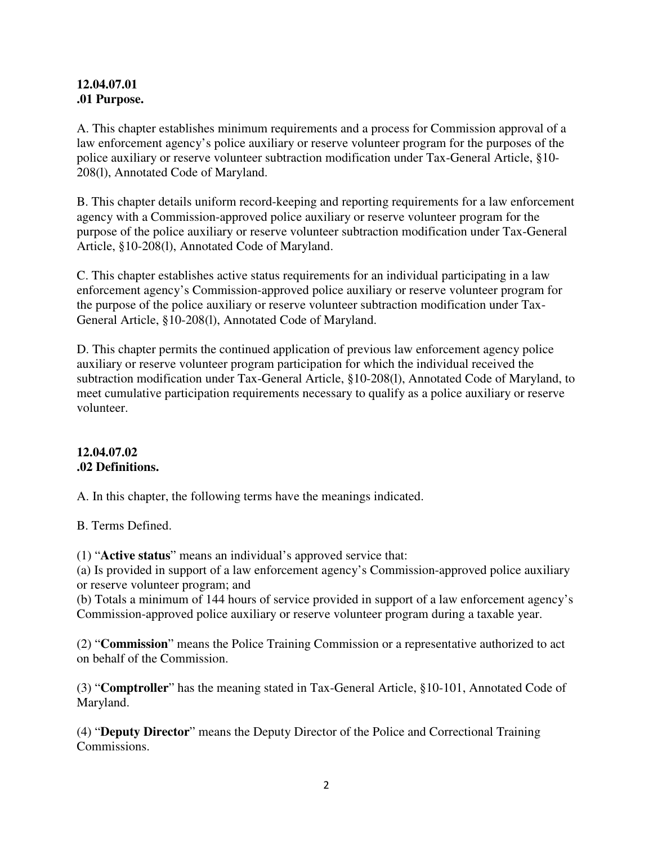#### **12.04.07.01 .01 Purpose.**

A. This chapter establishes minimum requirements and a process for Commission approval of a law enforcement agency's police auxiliary or reserve volunteer program for the purposes of the police auxiliary or reserve volunteer subtraction modification under Tax-General Article, §10- 208(l), Annotated Code of Maryland.

B. This chapter details uniform record-keeping and reporting requirements for a law enforcement agency with a Commission-approved police auxiliary or reserve volunteer program for the purpose of the police auxiliary or reserve volunteer subtraction modification under Tax-General Article, §10-208(l), Annotated Code of Maryland.

C. This chapter establishes active status requirements for an individual participating in a law enforcement agency's Commission-approved police auxiliary or reserve volunteer program for the purpose of the police auxiliary or reserve volunteer subtraction modification under Tax-General Article, §10-208(l), Annotated Code of Maryland.

D. This chapter permits the continued application of previous law enforcement agency police auxiliary or reserve volunteer program participation for which the individual received the subtraction modification under Tax-General Article, §10-208(l), Annotated Code of Maryland, to meet cumulative participation requirements necessary to qualify as a police auxiliary or reserve volunteer.

### **12.04.07.02 .02 Definitions.**

A. In this chapter, the following terms have the meanings indicated.

B. Terms Defined.

(1) "**Active status**" means an individual's approved service that:

(a) Is provided in support of a law enforcement agency's Commission-approved police auxiliary or reserve volunteer program; and

(b) Totals a minimum of 144 hours of service provided in support of a law enforcement agency's Commission-approved police auxiliary or reserve volunteer program during a taxable year.

(2) "**Commission**" means the Police Training Commission or a representative authorized to act on behalf of the Commission.

(3) "**Comptroller**" has the meaning stated in Tax-General Article, §10-101, Annotated Code of Maryland.

(4) "**Deputy Director**" means the Deputy Director of the Police and Correctional Training Commissions.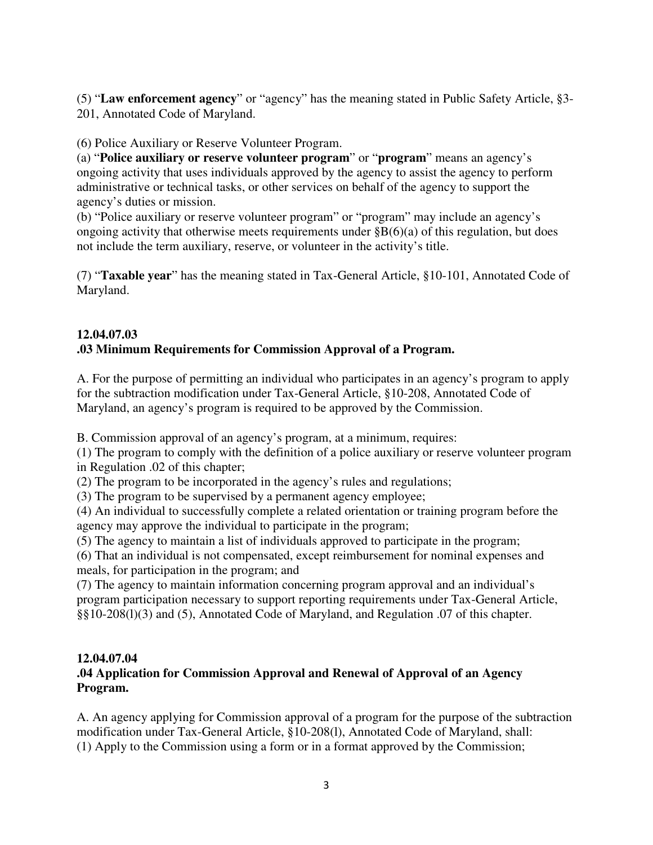(5) "**Law enforcement agency**" or "agency" has the meaning stated in Public Safety Article, §3- 201, Annotated Code of Maryland.

## (6) Police Auxiliary or Reserve Volunteer Program.

(a) "**Police auxiliary or reserve volunteer program**" or "**program**" means an agency's ongoing activity that uses individuals approved by the agency to assist the agency to perform administrative or technical tasks, or other services on behalf of the agency to support the agency's duties or mission.

(b) "Police auxiliary or reserve volunteer program" or "program" may include an agency's ongoing activity that otherwise meets requirements under  $\S B(6)(a)$  of this regulation, but does not include the term auxiliary, reserve, or volunteer in the activity's title.

(7) "**Taxable year**" has the meaning stated in Tax-General Article, §10-101, Annotated Code of Maryland.

# **12.04.07.03**

## **.03 Minimum Requirements for Commission Approval of a Program.**

A. For the purpose of permitting an individual who participates in an agency's program to apply for the subtraction modification under Tax-General Article, §10-208, Annotated Code of Maryland, an agency's program is required to be approved by the Commission.

B. Commission approval of an agency's program, at a minimum, requires:

(1) The program to comply with the definition of a police auxiliary or reserve volunteer program in Regulation .02 of this chapter;

(2) The program to be incorporated in the agency's rules and regulations;

(3) The program to be supervised by a permanent agency employee;

(4) An individual to successfully complete a related orientation or training program before the agency may approve the individual to participate in the program;

(5) The agency to maintain a list of individuals approved to participate in the program;

(6) That an individual is not compensated, except reimbursement for nominal expenses and meals, for participation in the program; and

(7) The agency to maintain information concerning program approval and an individual's program participation necessary to support reporting requirements under Tax-General Article, §§10-208(l)(3) and (5), Annotated Code of Maryland, and Regulation .07 of this chapter.

### **12.04.07.04**

### **.04 Application for Commission Approval and Renewal of Approval of an Agency Program.**

A. An agency applying for Commission approval of a program for the purpose of the subtraction modification under Tax-General Article, §10-208(l), Annotated Code of Maryland, shall: (1) Apply to the Commission using a form or in a format approved by the Commission;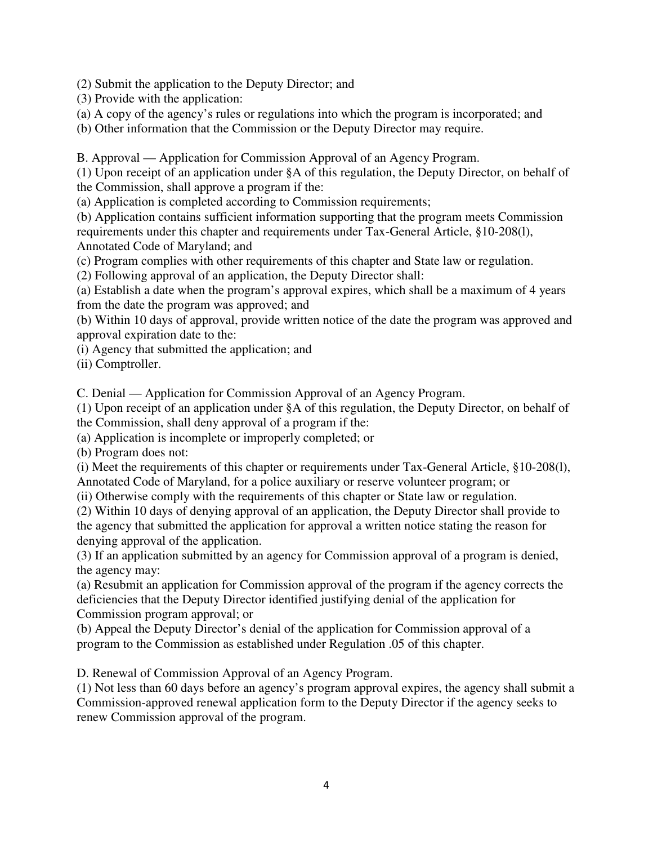(2) Submit the application to the Deputy Director; and

(3) Provide with the application:

(a) A copy of the agency's rules or regulations into which the program is incorporated; and

(b) Other information that the Commission or the Deputy Director may require.

B. Approval — Application for Commission Approval of an Agency Program.

(1) Upon receipt of an application under §A of this regulation, the Deputy Director, on behalf of the Commission, shall approve a program if the:

(a) Application is completed according to Commission requirements;

(b) Application contains sufficient information supporting that the program meets Commission requirements under this chapter and requirements under Tax-General Article, §10-208(l), Annotated Code of Maryland; and

(c) Program complies with other requirements of this chapter and State law or regulation.

(2) Following approval of an application, the Deputy Director shall:

(a) Establish a date when the program's approval expires, which shall be a maximum of 4 years from the date the program was approved; and

(b) Within 10 days of approval, provide written notice of the date the program was approved and approval expiration date to the:

(i) Agency that submitted the application; and

(ii) Comptroller.

C. Denial — Application for Commission Approval of an Agency Program.

(1) Upon receipt of an application under §A of this regulation, the Deputy Director, on behalf of

the Commission, shall deny approval of a program if the:

(a) Application is incomplete or improperly completed; or

(b) Program does not:

(i) Meet the requirements of this chapter or requirements under Tax-General Article, §10-208(l), Annotated Code of Maryland, for a police auxiliary or reserve volunteer program; or

(ii) Otherwise comply with the requirements of this chapter or State law or regulation.

(2) Within 10 days of denying approval of an application, the Deputy Director shall provide to the agency that submitted the application for approval a written notice stating the reason for denying approval of the application.

(3) If an application submitted by an agency for Commission approval of a program is denied, the agency may:

(a) Resubmit an application for Commission approval of the program if the agency corrects the deficiencies that the Deputy Director identified justifying denial of the application for Commission program approval; or

(b) Appeal the Deputy Director's denial of the application for Commission approval of a program to the Commission as established under Regulation .05 of this chapter.

D. Renewal of Commission Approval of an Agency Program.

(1) Not less than 60 days before an agency's program approval expires, the agency shall submit a Commission-approved renewal application form to the Deputy Director if the agency seeks to renew Commission approval of the program.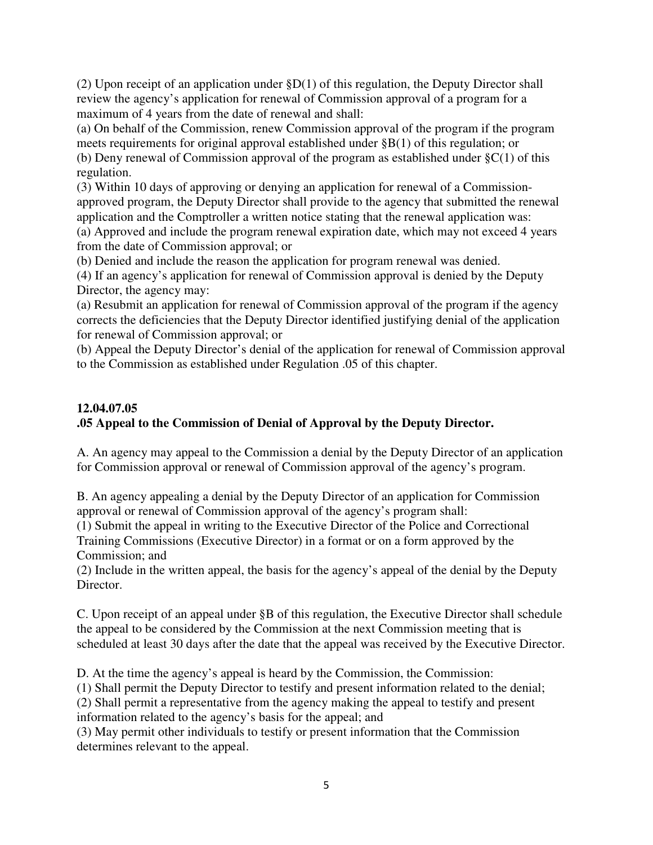(2) Upon receipt of an application under §D(1) of this regulation, the Deputy Director shall review the agency's application for renewal of Commission approval of a program for a maximum of 4 years from the date of renewal and shall:

(a) On behalf of the Commission, renew Commission approval of the program if the program meets requirements for original approval established under §B(1) of this regulation; or (b) Deny renewal of Commission approval of the program as established under  $\S C(1)$  of this regulation.

(3) Within 10 days of approving or denying an application for renewal of a Commissionapproved program, the Deputy Director shall provide to the agency that submitted the renewal application and the Comptroller a written notice stating that the renewal application was: (a) Approved and include the program renewal expiration date, which may not exceed 4 years from the date of Commission approval; or

(b) Denied and include the reason the application for program renewal was denied.

(4) If an agency's application for renewal of Commission approval is denied by the Deputy Director, the agency may:

(a) Resubmit an application for renewal of Commission approval of the program if the agency corrects the deficiencies that the Deputy Director identified justifying denial of the application for renewal of Commission approval; or

(b) Appeal the Deputy Director's denial of the application for renewal of Commission approval to the Commission as established under Regulation .05 of this chapter.

## **12.04.07.05 .05 Appeal to the Commission of Denial of Approval by the Deputy Director.**

A. An agency may appeal to the Commission a denial by the Deputy Director of an application for Commission approval or renewal of Commission approval of the agency's program.

B. An agency appealing a denial by the Deputy Director of an application for Commission approval or renewal of Commission approval of the agency's program shall:

(1) Submit the appeal in writing to the Executive Director of the Police and Correctional Training Commissions (Executive Director) in a format or on a form approved by the Commission; and

(2) Include in the written appeal, the basis for the agency's appeal of the denial by the Deputy Director.

C. Upon receipt of an appeal under §B of this regulation, the Executive Director shall schedule the appeal to be considered by the Commission at the next Commission meeting that is scheduled at least 30 days after the date that the appeal was received by the Executive Director.

D. At the time the agency's appeal is heard by the Commission, the Commission:

(1) Shall permit the Deputy Director to testify and present information related to the denial;

(2) Shall permit a representative from the agency making the appeal to testify and present

information related to the agency's basis for the appeal; and

(3) May permit other individuals to testify or present information that the Commission determines relevant to the appeal.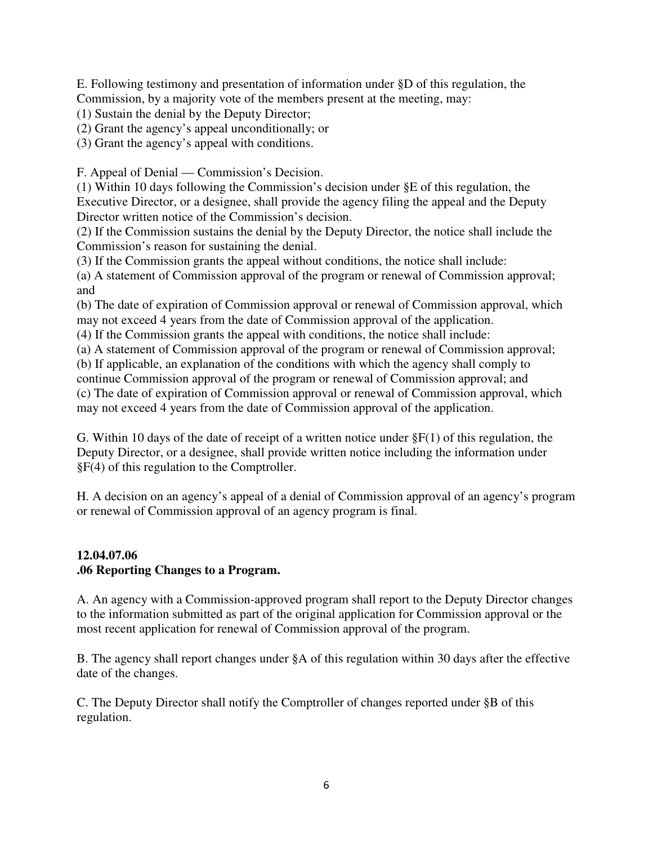E. Following testimony and presentation of information under §D of this regulation, the Commission, by a majority vote of the members present at the meeting, may:

(1) Sustain the denial by the Deputy Director;

(2) Grant the agency's appeal unconditionally; or

(3) Grant the agency's appeal with conditions.

F. Appeal of Denial — Commission's Decision.

(1) Within 10 days following the Commission's decision under §E of this regulation, the Executive Director, or a designee, shall provide the agency filing the appeal and the Deputy Director written notice of the Commission's decision.

(2) If the Commission sustains the denial by the Deputy Director, the notice shall include the Commission's reason for sustaining the denial.

(3) If the Commission grants the appeal without conditions, the notice shall include:

(a) A statement of Commission approval of the program or renewal of Commission approval; and

(b) The date of expiration of Commission approval or renewal of Commission approval, which may not exceed 4 years from the date of Commission approval of the application.

(4) If the Commission grants the appeal with conditions, the notice shall include:

(a) A statement of Commission approval of the program or renewal of Commission approval;

(b) If applicable, an explanation of the conditions with which the agency shall comply to continue Commission approval of the program or renewal of Commission approval; and (c) The date of expiration of Commission approval or renewal of Commission approval, which may not exceed 4 years from the date of Commission approval of the application.

G. Within 10 days of the date of receipt of a written notice under  $\S F(1)$  of this regulation, the Deputy Director, or a designee, shall provide written notice including the information under §F(4) of this regulation to the Comptroller.

H. A decision on an agency's appeal of a denial of Commission approval of an agency's program or renewal of Commission approval of an agency program is final.

### **12.04.07.06 .06 Reporting Changes to a Program.**

A. An agency with a Commission-approved program shall report to the Deputy Director changes to the information submitted as part of the original application for Commission approval or the most recent application for renewal of Commission approval of the program.

B. The agency shall report changes under §A of this regulation within 30 days after the effective date of the changes.

C. The Deputy Director shall notify the Comptroller of changes reported under §B of this regulation.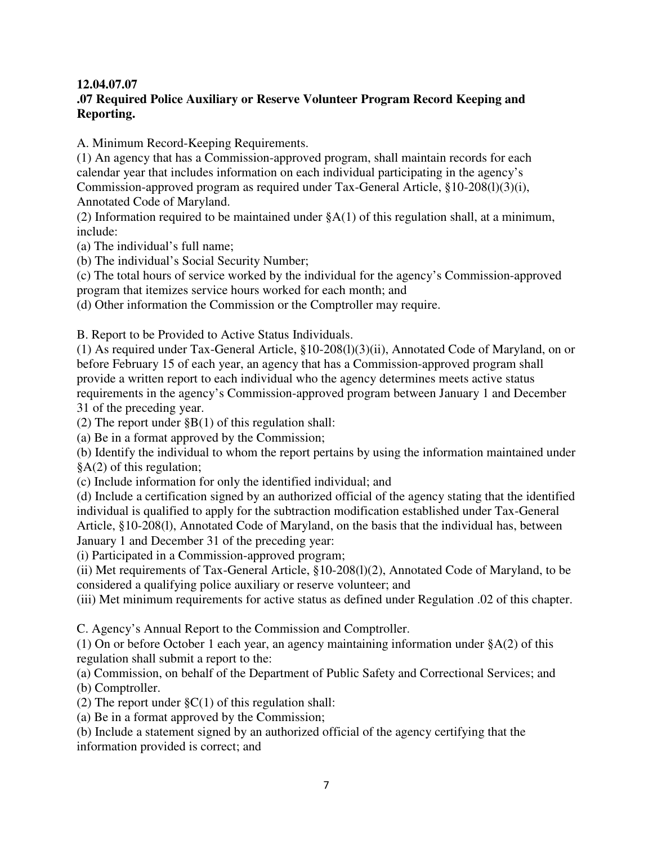## **12.04.07.07**

## **.07 Required Police Auxiliary or Reserve Volunteer Program Record Keeping and Reporting.**

A. Minimum Record-Keeping Requirements.

(1) An agency that has a Commission-approved program, shall maintain records for each calendar year that includes information on each individual participating in the agency's Commission-approved program as required under Tax-General Article, §10-208(l)(3)(i), Annotated Code of Maryland.

(2) Information required to be maintained under  $\S A(1)$  of this regulation shall, at a minimum, include:

(a) The individual's full name;

(b) The individual's Social Security Number;

(c) The total hours of service worked by the individual for the agency's Commission-approved program that itemizes service hours worked for each month; and

(d) Other information the Commission or the Comptroller may require.

B. Report to be Provided to Active Status Individuals.

(1) As required under Tax-General Article, §10-208(l)(3)(ii), Annotated Code of Maryland, on or before February 15 of each year, an agency that has a Commission-approved program shall provide a written report to each individual who the agency determines meets active status requirements in the agency's Commission-approved program between January 1 and December 31 of the preceding year.

(2) The report under  $\S B(1)$  of this regulation shall:

(a) Be in a format approved by the Commission;

(b) Identify the individual to whom the report pertains by using the information maintained under §A(2) of this regulation;

(c) Include information for only the identified individual; and

(d) Include a certification signed by an authorized official of the agency stating that the identified individual is qualified to apply for the subtraction modification established under Tax-General Article, §10-208(l), Annotated Code of Maryland, on the basis that the individual has, between January 1 and December 31 of the preceding year:

(i) Participated in a Commission-approved program;

(ii) Met requirements of Tax-General Article, §10-208(l)(2), Annotated Code of Maryland, to be considered a qualifying police auxiliary or reserve volunteer; and

(iii) Met minimum requirements for active status as defined under Regulation .02 of this chapter.

C. Agency's Annual Report to the Commission and Comptroller.

(1) On or before October 1 each year, an agency maintaining information under §A(2) of this regulation shall submit a report to the:

(a) Commission, on behalf of the Department of Public Safety and Correctional Services; and (b) Comptroller.

(2) The report under  $\S C(1)$  of this regulation shall:

(a) Be in a format approved by the Commission;

(b) Include a statement signed by an authorized official of the agency certifying that the information provided is correct; and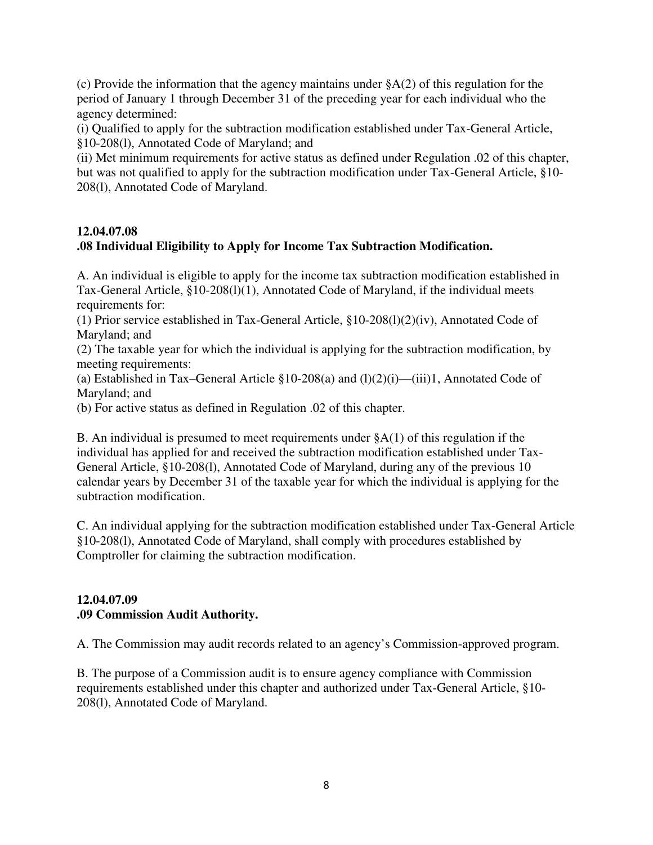(c) Provide the information that the agency maintains under §A(2) of this regulation for the period of January 1 through December 31 of the preceding year for each individual who the agency determined:

(i) Qualified to apply for the subtraction modification established under Tax-General Article, §10-208(l), Annotated Code of Maryland; and

(ii) Met minimum requirements for active status as defined under Regulation .02 of this chapter, but was not qualified to apply for the subtraction modification under Tax-General Article, §10- 208(l), Annotated Code of Maryland.

### **12.04.07.08**

## **.08 Individual Eligibility to Apply for Income Tax Subtraction Modification.**

A. An individual is eligible to apply for the income tax subtraction modification established in Tax-General Article, §10-208(l)(1), Annotated Code of Maryland, if the individual meets requirements for:

(1) Prior service established in Tax-General Article, §10-208(l)(2)(iv), Annotated Code of Maryland; and

(2) The taxable year for which the individual is applying for the subtraction modification, by meeting requirements:

(a) Established in Tax–General Article  $$10-208(a)$  and  $(l)(2)(i)$ —(iii)1, Annotated Code of Maryland; and

(b) For active status as defined in Regulation .02 of this chapter.

B. An individual is presumed to meet requirements under  $(A(1))$  of this regulation if the individual has applied for and received the subtraction modification established under Tax-General Article, §10-208(l), Annotated Code of Maryland, during any of the previous 10 calendar years by December 31 of the taxable year for which the individual is applying for the subtraction modification.

C. An individual applying for the subtraction modification established under Tax-General Article §10-208(l), Annotated Code of Maryland, shall comply with procedures established by Comptroller for claiming the subtraction modification.

#### **12.04.07.09 .09 Commission Audit Authority.**

A. The Commission may audit records related to an agency's Commission-approved program.

B. The purpose of a Commission audit is to ensure agency compliance with Commission requirements established under this chapter and authorized under Tax-General Article, §10- 208(l), Annotated Code of Maryland.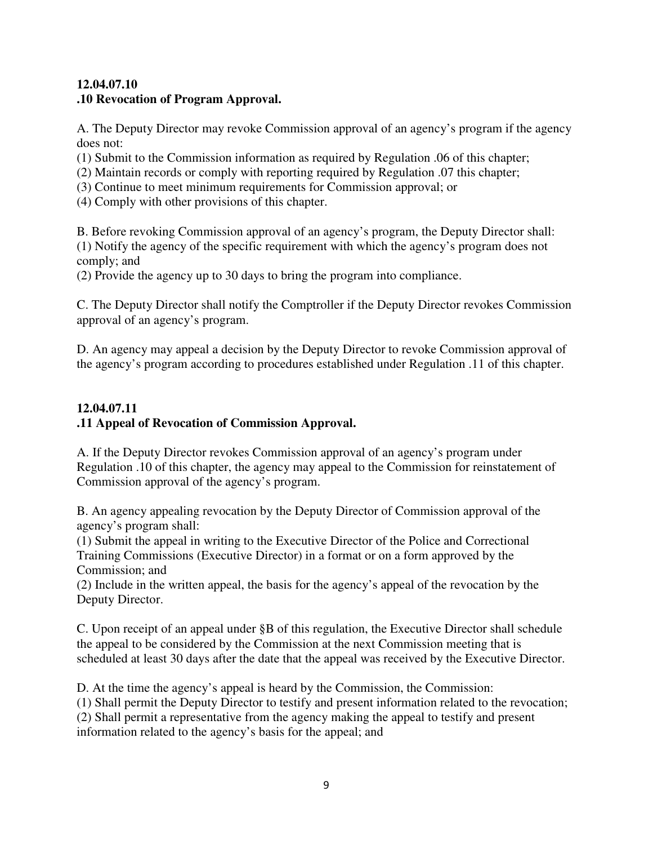### **12.04.07.10 .10 Revocation of Program Approval.**

A. The Deputy Director may revoke Commission approval of an agency's program if the agency does not:

(1) Submit to the Commission information as required by Regulation .06 of this chapter;

- (2) Maintain records or comply with reporting required by Regulation .07 this chapter;
- (3) Continue to meet minimum requirements for Commission approval; or
- (4) Comply with other provisions of this chapter.

B. Before revoking Commission approval of an agency's program, the Deputy Director shall: (1) Notify the agency of the specific requirement with which the agency's program does not comply; and

(2) Provide the agency up to 30 days to bring the program into compliance.

C. The Deputy Director shall notify the Comptroller if the Deputy Director revokes Commission approval of an agency's program.

D. An agency may appeal a decision by the Deputy Director to revoke Commission approval of the agency's program according to procedures established under Regulation .11 of this chapter.

## **12.04.07.11 .11 Appeal of Revocation of Commission Approval.**

A. If the Deputy Director revokes Commission approval of an agency's program under Regulation .10 of this chapter, the agency may appeal to the Commission for reinstatement of Commission approval of the agency's program.

B. An agency appealing revocation by the Deputy Director of Commission approval of the agency's program shall:

(1) Submit the appeal in writing to the Executive Director of the Police and Correctional Training Commissions (Executive Director) in a format or on a form approved by the Commission; and

(2) Include in the written appeal, the basis for the agency's appeal of the revocation by the Deputy Director.

C. Upon receipt of an appeal under §B of this regulation, the Executive Director shall schedule the appeal to be considered by the Commission at the next Commission meeting that is scheduled at least 30 days after the date that the appeal was received by the Executive Director.

D. At the time the agency's appeal is heard by the Commission, the Commission: (1) Shall permit the Deputy Director to testify and present information related to the revocation; (2) Shall permit a representative from the agency making the appeal to testify and present information related to the agency's basis for the appeal; and